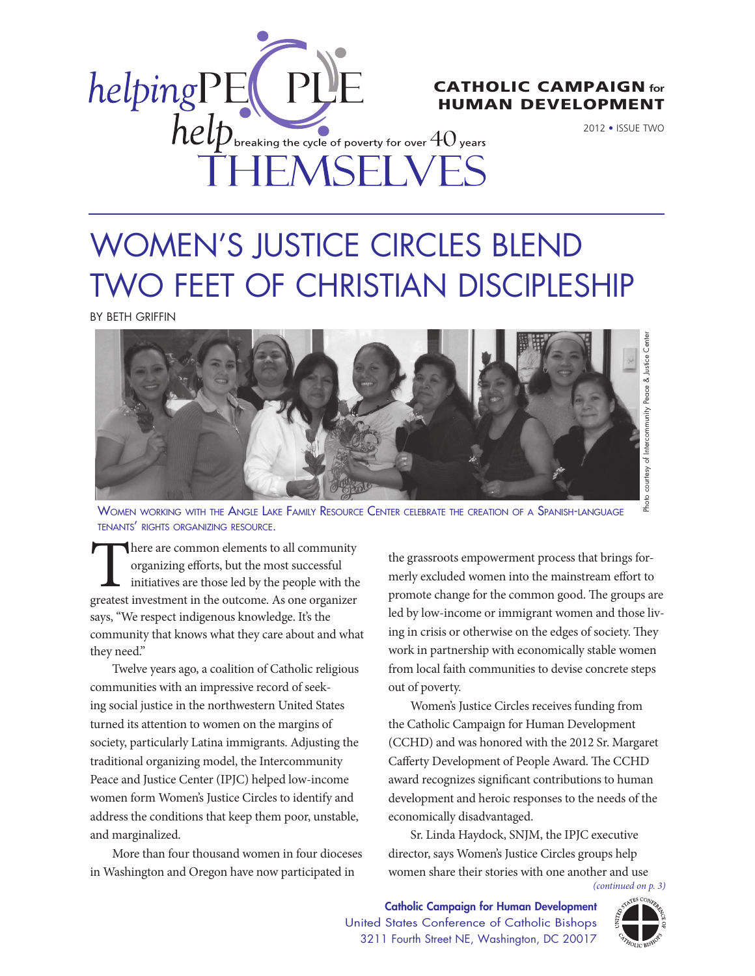

# human development

2012 • Issue Two

# Women's Justice Circles Blend Two Feet of Christian Discipleship

by Beth Griffin



Women working with the Angle Lake Family Resource Center celebrate the creation of <sup>a</sup> Spanish-language tenants' rights organizing resource.

There are common elements to all community organizing efforts, but the most successful initiatives are those led by the people with the greatest investment in the outcome. As one organizer says, "We respect indigenous knowledge. It's the community that knows what they care about and what they need."

Twelve years ago, a coalition of Catholic religious communities with an impressive record of seeking social justice in the northwestern United States turned its attention to women on the margins of society, particularly Latina immigrants. Adjusting the traditional organizing model, the Intercommunity Peace and Justice Center (IPJC) helped low-income women form Women's Justice Circles to identify and address the conditions that keep them poor, unstable, and marginalized.

More than four thousand women in four dioceses in Washington and Oregon have now participated in

the grassroots empowerment process that brings formerly excluded women into the mainstream effort to promote change for the common good. The groups are led by low-income or immigrant women and those living in crisis or otherwise on the edges of society. They work in partnership with economically stable women from local faith communities to devise concrete steps out of poverty.

Women's Justice Circles receives funding from the Catholic Campaign for Human Development (CCHD) and was honored with the 2012 Sr. Margaret Cafferty Development of People Award. The CCHD award recognizes significant contributions to human development and heroic responses to the needs of the economically disadvantaged.

Sr. Linda Haydock, SNJM, the IPJC executive director, says Women's Justice Circles groups help women share their stories with one another and use

*(continued on p. 3)*

Catholic Campaign for Human Development United States Conference of Catholic Bishops 3211 Fourth Street NE, Washington, DC 20017

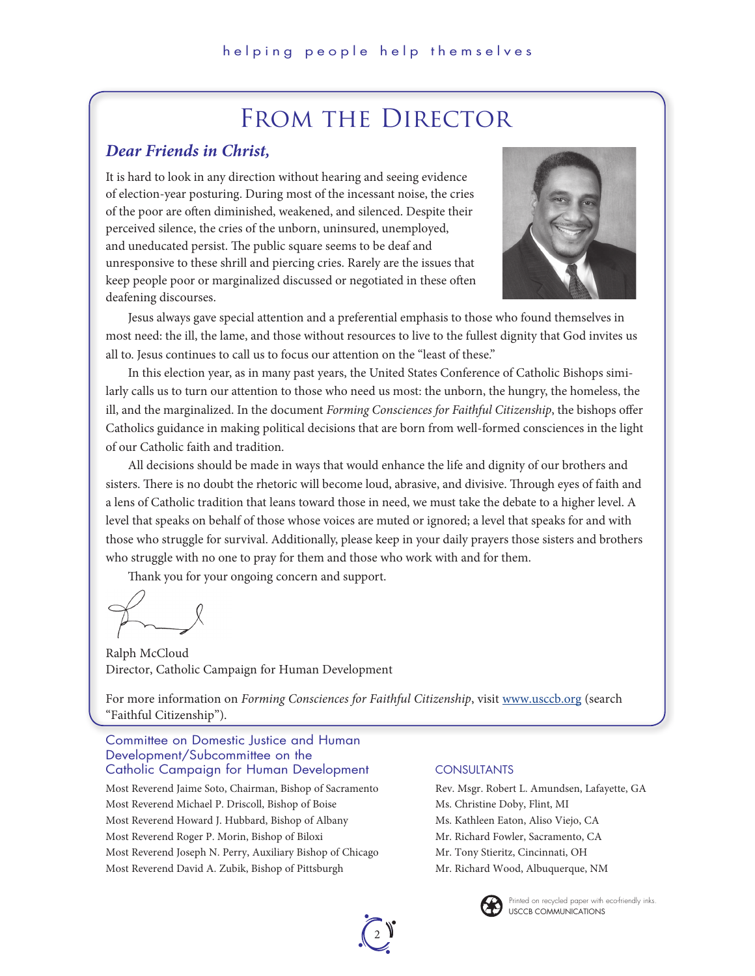# FROM THE DIRECTOR

## *Dear Friends in Christ,*

It is hard to look in any direction without hearing and seeing evidence of election-year posturing. During most of the incessant noise, the cries of the poor are often diminished, weakened, and silenced. Despite their perceived silence, the cries of the unborn, uninsured, unemployed, and uneducated persist. The public square seems to be deaf and unresponsive to these shrill and piercing cries. Rarely are the issues that keep people poor or marginalized discussed or negotiated in these often deafening discourses.



Jesus always gave special attention and a preferential emphasis to those who found themselves in most need: the ill, the lame, and those without resources to live to the fullest dignity that God invites us all to. Jesus continues to call us to focus our attention on the "least of these."

In this election year, as in many past years, the United States Conference of Catholic Bishops similarly calls us to turn our attention to those who need us most: the unborn, the hungry, the homeless, the ill, and the marginalized. In the document *Forming Consciences for Faithful Citizenship*, the bishops offer Catholics guidance in making political decisions that are born from well-formed consciences in the light of our Catholic faith and tradition.

All decisions should be made in ways that would enhance the life and dignity of our brothers and sisters. There is no doubt the rhetoric will become loud, abrasive, and divisive. Through eyes of faith and a lens of Catholic tradition that leans toward those in need, we must take the debate to a higher level. A level that speaks on behalf of those whose voices are muted or ignored; a level that speaks for and with those who struggle for survival. Additionally, please keep in your daily prayers those sisters and brothers who struggle with no one to pray for them and those who work with and for them.

Thank you for your ongoing concern and support.

Ralph McCloud Director, Catholic Campaign for Human Development

For more information on *Forming Consciences for Faithful Citizenship*, visit www.usccb.org (search "Faithful Citizenship").

### Committee on Domestic Justice and Human Development/Subcommittee on the Catholic Campaign for Human Development

Most Reverend Jaime Soto, Chairman, Bishop of Sacramento Most Reverend Michael P. Driscoll, Bishop of Boise Most Reverend Howard J. Hubbard, Bishop of Albany Most Reverend Roger P. Morin, Bishop of Biloxi Most Reverend Joseph N. Perry, Auxiliary Bishop of Chicago Most Reverend David A. Zubik, Bishop of Pittsburgh

### **CONSULTANTS**

Rev. Msgr. Robert L. Amundsen, Lafayette, GA Ms. Christine Doby, Flint, MI Ms. Kathleen Eaton, Aliso Viejo, CA Mr. Richard Fowler, Sacramento, CA Mr. Tony Stieritz, Cincinnati, OH Mr. Richard Wood, Albuquerque, NM



USCCB CommUNiCatioNS Printed on recycled paper with eco-friendly inks.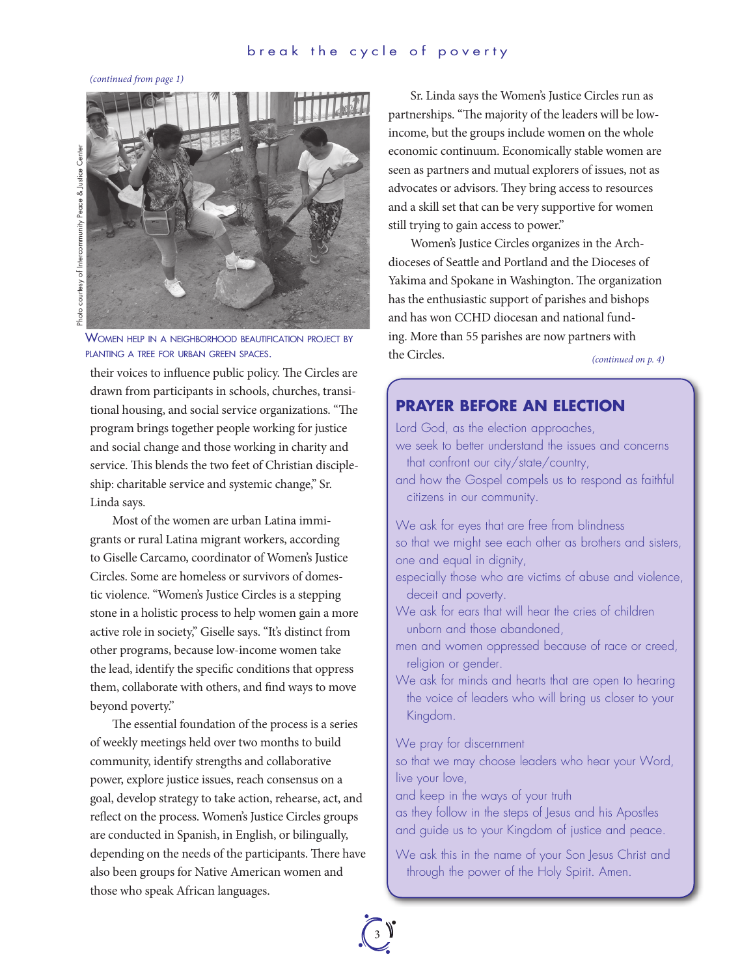*(continued from page 1)* 



WOMEN HELP IN A NEIGHBORHOOD BEAUTIFICATION PROJECT BY plAnting <sup>A</sup> tree For urbAn green spAces.

their voices to influence public policy. The Circles are drawn from participants in schools, churches, transitional housing, and social service organizations. "The program brings together people working for justice and social change and those working in charity and service. This blends the two feet of Christian discipleship: charitable service and systemic change," Sr. Linda says.

Most of the women are urban Latina immigrants or rural Latina migrant workers, according to Giselle Carcamo, coordinator of Women's Justice Circles. Some are homeless or survivors of domestic violence. "Women's Justice Circles is a stepping stone in a holistic process to help women gain a more active role in society," Giselle says. "It's distinct from other programs, because low-income women take the lead, identify the specific conditions that oppress them, collaborate with others, and find ways to move beyond poverty."

The essential foundation of the process is a series of weekly meetings held over two months to build community, identify strengths and collaborative power, explore justice issues, reach consensus on a goal, develop strategy to take action, rehearse, act, and reflect on the process. Women's Justice Circles groups are conducted in Spanish, in English, or bilingually, depending on the needs of the participants. There have also been groups for Native American women and those who speak African languages.

Sr. Linda says the Women's Justice Circles run as partnerships. "The majority of the leaders will be lowincome, but the groups include women on the whole economic continuum. Economically stable women are seen as partners and mutual explorers of issues, not as advocates or advisors. They bring access to resources and a skill set that can be very supportive for women still trying to gain access to power."

Women's Justice Circles organizes in the Archdioceses of Seattle and Portland and the Dioceses of Yakima and Spokane in Washington. The organization has the enthusiastic support of parishes and bishops and has won CCHD diocesan and national funding. More than 55 parishes are now partners with the Circles. *(continued on p. 4)*

## **PRAYER BEFORE AN ELECTION**

Lord God, as the election approaches, we seek to better understand the issues and concerns that confront our city/state/country,

and how the Gospel compels us to respond as faithful citizens in our community.

We ask for eyes that are free from blindness so that we might see each other as brothers and sisters, one and equal in dignity,

- especially those who are victims of abuse and violence, deceit and poverty.
- We ask for ears that will hear the cries of children unborn and those abandoned,
- men and women oppressed because of race or creed, religion or gender.
- We ask for minds and hearts that are open to hearing the voice of leaders who will bring us closer to your Kingdom.

We pray for discernment

so that we may choose leaders who hear your Word, live your love,

and keep in the ways of your truth

as they follow in the steps of Jesus and his Apostles and guide us to your Kingdom of justice and peace.

We ask this in the name of your Son Jesus Christ and through the power of the Holy Spirit. Amen.